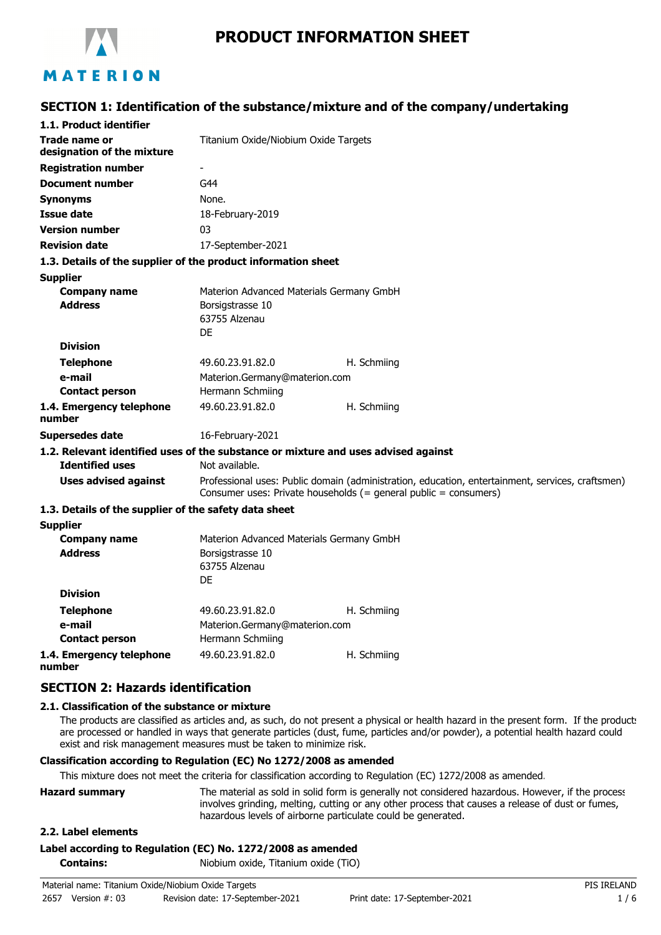

# **PRODUCT INFORMATION SHEET**

### **SECTION 1: Identification of the substance/mixture and of the company/undertaking**

| 1.1. Product identifier                                       |                                                                                                                                                                      |                                                                                    |  |
|---------------------------------------------------------------|----------------------------------------------------------------------------------------------------------------------------------------------------------------------|------------------------------------------------------------------------------------|--|
| Trade name or<br>designation of the mixture                   | Titanium Oxide/Niobium Oxide Targets                                                                                                                                 |                                                                                    |  |
| <b>Registration number</b>                                    |                                                                                                                                                                      |                                                                                    |  |
| <b>Document number</b>                                        | G44                                                                                                                                                                  |                                                                                    |  |
| <b>Synonyms</b>                                               | None.                                                                                                                                                                |                                                                                    |  |
| <b>Issue date</b>                                             | 18-February-2019                                                                                                                                                     |                                                                                    |  |
| <b>Version number</b>                                         | 03                                                                                                                                                                   |                                                                                    |  |
| <b>Revision date</b>                                          | 17-September-2021                                                                                                                                                    |                                                                                    |  |
| 1.3. Details of the supplier of the product information sheet |                                                                                                                                                                      |                                                                                    |  |
| <b>Supplier</b>                                               |                                                                                                                                                                      |                                                                                    |  |
| <b>Company name</b><br><b>Address</b>                         | Materion Advanced Materials Germany GmbH<br>Borsigstrasse 10<br>63755 Alzenau<br>DE                                                                                  |                                                                                    |  |
| <b>Division</b>                                               |                                                                                                                                                                      |                                                                                    |  |
| <b>Telephone</b>                                              | 49.60.23.91.82.0                                                                                                                                                     | H. Schmiing                                                                        |  |
| e-mail                                                        | Materion.Germany@materion.com                                                                                                                                        |                                                                                    |  |
| <b>Contact person</b>                                         | Hermann Schmiing                                                                                                                                                     |                                                                                    |  |
| 1.4. Emergency telephone<br>number                            | 49.60.23.91.82.0                                                                                                                                                     | H. Schmiing                                                                        |  |
| <b>Supersedes date</b>                                        | 16-February-2021                                                                                                                                                     |                                                                                    |  |
|                                                               |                                                                                                                                                                      | 1.2. Relevant identified uses of the substance or mixture and uses advised against |  |
| <b>Identified uses</b>                                        | Not available.                                                                                                                                                       |                                                                                    |  |
| <b>Uses advised against</b>                                   | Professional uses: Public domain (administration, education, entertainment, services, craftsmen)<br>Consumer uses: Private households (= general public = consumers) |                                                                                    |  |
| 1.3. Details of the supplier of the safety data sheet         |                                                                                                                                                                      |                                                                                    |  |
| <b>Supplier</b>                                               |                                                                                                                                                                      |                                                                                    |  |
| <b>Company name</b>                                           | Materion Advanced Materials Germany GmbH                                                                                                                             |                                                                                    |  |
| <b>Address</b>                                                | Borsigstrasse 10<br>63755 Alzenau<br>DE                                                                                                                              |                                                                                    |  |
| <b>Division</b>                                               |                                                                                                                                                                      |                                                                                    |  |
| <b>Telephone</b>                                              | 49.60.23.91.82.0                                                                                                                                                     | H. Schmiing                                                                        |  |
| e-mail                                                        | Materion.Germany@materion.com                                                                                                                                        |                                                                                    |  |
| <b>Contact person</b>                                         | Hermann Schmiing                                                                                                                                                     |                                                                                    |  |
| 1.4. Emergency telephone                                      | 49.60.23.91.82.0                                                                                                                                                     | H. Schmiing                                                                        |  |

**number**

### **SECTION 2: Hazards identification**

#### **2.1. Classification of the substance or mixture**

The products are classified as articles and, as such, do not present a physical or health hazard in the present form. If the product: are processed or handled in ways that generate particles (dust, fume, particles and/or powder), a potential health hazard could exist and risk management measures must be taken to minimize risk.

#### **Classification according to Regulation (EC) No 1272/2008 as amended**

This mixture does not meet the criteria for classification according to Regulation (EC) 1272/2008 as amended.

| <b>Hazard summary</b> | The material as sold in solid form is generally not considered hazardous. However, if the process |
|-----------------------|---------------------------------------------------------------------------------------------------|
|                       | involves grinding, melting, cutting or any other process that causes a release of dust or fumes,  |
|                       | hazardous levels of airborne particulate could be generated.                                      |

#### **2.2. Label elements**

#### **Label according to Regulation (EC) No. 1272/2008 as amended**

**Contains:** Niobium oxide, Titanium oxide (TiO)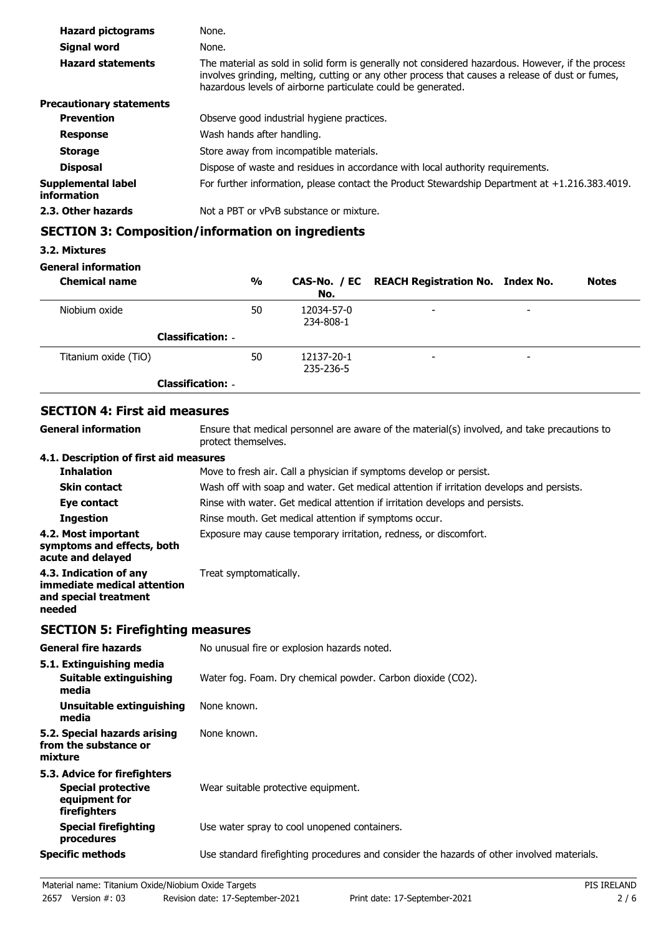| <b>Hazard pictograms</b>          | None.                                                                                                                                                                                                                                                                 |
|-----------------------------------|-----------------------------------------------------------------------------------------------------------------------------------------------------------------------------------------------------------------------------------------------------------------------|
| Signal word                       | None.                                                                                                                                                                                                                                                                 |
| <b>Hazard statements</b>          | The material as sold in solid form is generally not considered hazardous. However, if the process<br>involves grinding, melting, cutting or any other process that causes a release of dust or fumes,<br>hazardous levels of airborne particulate could be generated. |
| <b>Precautionary statements</b>   |                                                                                                                                                                                                                                                                       |
| <b>Prevention</b>                 | Observe good industrial hygiene practices.                                                                                                                                                                                                                            |
| <b>Response</b>                   | Wash hands after handling.                                                                                                                                                                                                                                            |
| <b>Storage</b>                    | Store away from incompatible materials.                                                                                                                                                                                                                               |
| <b>Disposal</b>                   | Dispose of waste and residues in accordance with local authority requirements.                                                                                                                                                                                        |
| Supplemental label<br>information | For further information, please contact the Product Stewardship Department at $+1.216.383.4019$ .                                                                                                                                                                     |
| 2.3. Other hazards                | Not a PBT or vPvB substance or mixture.                                                                                                                                                                                                                               |

# **SECTION 3: Composition/information on ingredients**

### **3.2. Mixtures**

### **General information**

| <b>Chemical name</b>     | %  | No.                     | CAS-No. / EC REACH Registration No. Index No. |                          | <b>Notes</b> |
|--------------------------|----|-------------------------|-----------------------------------------------|--------------------------|--------------|
| Niobium oxide            | 50 | 12034-57-0<br>234-808-1 | $\overline{\phantom{0}}$                      | $\overline{\phantom{0}}$ |              |
| <b>Classification: -</b> |    |                         |                                               |                          |              |
| Titanium oxide (TiO)     | 50 | 12137-20-1<br>235-236-5 | $\overline{\phantom{0}}$                      | $\overline{\phantom{0}}$ |              |
| <b>Classification: -</b> |    |                         |                                               |                          |              |

# **SECTION 4: First aid measures**

| SECTION 4: FIFST ald measures                                                                                       |
|---------------------------------------------------------------------------------------------------------------------|
| Ensure that medical personnel are aware of the material(s) involved, and take precautions to<br>protect themselves. |
| 4.1. Description of first aid measures                                                                              |
| Move to fresh air. Call a physician if symptoms develop or persist.                                                 |
| Wash off with soap and water. Get medical attention if irritation develops and persists.                            |
| Rinse with water. Get medical attention if irritation develops and persists.                                        |
| Rinse mouth. Get medical attention if symptoms occur.                                                               |
| Exposure may cause temporary irritation, redness, or discomfort.                                                    |
| Treat symptomatically.                                                                                              |
|                                                                                                                     |

# **SECTION 5: Firefighting measures**

| <b>General fire hazards</b>                                                                | No unusual fire or explosion hazards noted.                                                |
|--------------------------------------------------------------------------------------------|--------------------------------------------------------------------------------------------|
| 5.1. Extinguishing media<br>Suitable extinguishing<br>media                                | Water fog. Foam. Dry chemical powder. Carbon dioxide (CO2).                                |
| Unsuitable extinguishing<br>media                                                          | None known.                                                                                |
| 5.2. Special hazards arising<br>from the substance or<br>mixture                           | None known.                                                                                |
| 5.3. Advice for firefighters<br><b>Special protective</b><br>equipment for<br>firefighters | Wear suitable protective equipment.                                                        |
| <b>Special firefighting</b><br>procedures                                                  | Use water spray to cool unopened containers.                                               |
| <b>Specific methods</b>                                                                    | Use standard firefighting procedures and consider the hazards of other involved materials. |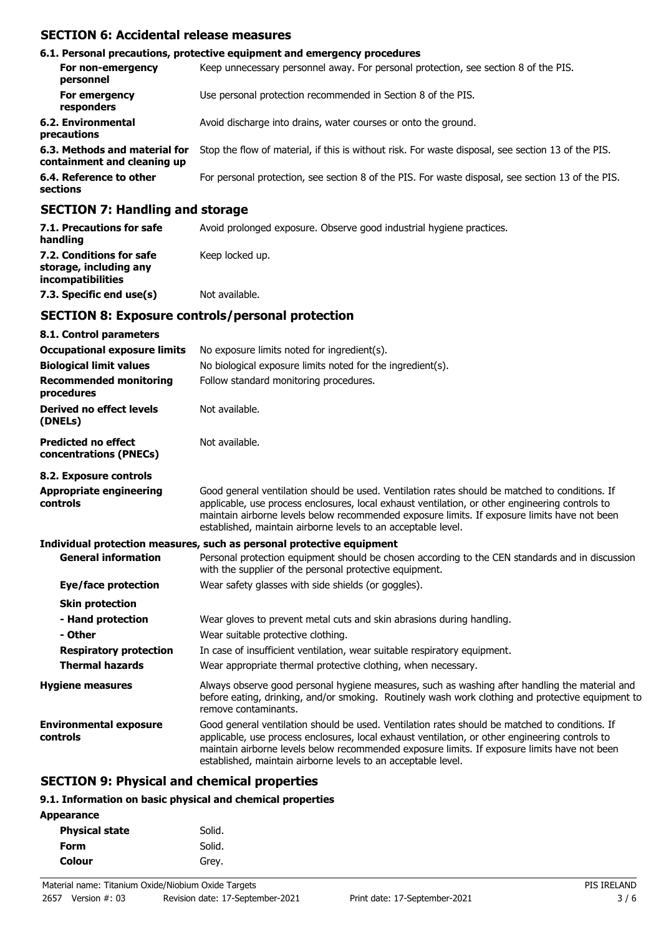### **SECTION 6: Accidental release measures**

|                                                                                                                                                                                                                               | 6.1. Personal precautions, protective equipment and emergency procedures                           |
|-------------------------------------------------------------------------------------------------------------------------------------------------------------------------------------------------------------------------------|----------------------------------------------------------------------------------------------------|
| For non-emergency<br>personnel                                                                                                                                                                                                | Keep unnecessary personnel away. For personal protection, see section 8 of the PIS.                |
| For emergency<br>responders                                                                                                                                                                                                   | Use personal protection recommended in Section 8 of the PIS.                                       |
| 6.2. Environmental<br>precautions                                                                                                                                                                                             | Avoid discharge into drains, water courses or onto the ground.                                     |
| 6.3. Methods and material for<br>containment and cleaning up                                                                                                                                                                  | Stop the flow of material, if this is without risk. For waste disposal, see section 13 of the PIS. |
| 6.4. Reference to other<br>sections                                                                                                                                                                                           | For personal protection, see section 8 of the PIS. For waste disposal, see section 13 of the PIS.  |
| $A$ - $A$ - $A$ - $A$ - $A$ - $A$ - $A$ - $A$ - $A$ - $A$ - $A$ - $A$ - $A$ - $A$ - $A$ - $A$ - $A$ - $A$ - $A$ - $A$ - $A$ - $A$ - $A$ - $A$ - $A$ - $A$ - $A$ - $A$ - $A$ - $A$ - $A$ - $A$ - $A$ - $A$ - $A$ - $A$ - $A$ - |                                                                                                    |

#### **SECTION 7: Handling and storage**

| 7.1. Precautions for safe<br>handling                                   | Avoid prolonged exposure. Observe good industrial hygiene practices. |
|-------------------------------------------------------------------------|----------------------------------------------------------------------|
| 7.2. Conditions for safe<br>storage, including any<br>incompatibilities | Keep locked up.                                                      |
| 7.3. Specific end use(s)                                                | Not available.                                                       |

### **SECTION 8: Exposure controls/personal protection**

| 8.1. Control parameters                              |                                                                                                                                                                                                                                                                                                                                                                    |
|------------------------------------------------------|--------------------------------------------------------------------------------------------------------------------------------------------------------------------------------------------------------------------------------------------------------------------------------------------------------------------------------------------------------------------|
| <b>Occupational exposure limits</b>                  | No exposure limits noted for ingredient(s).                                                                                                                                                                                                                                                                                                                        |
| <b>Biological limit values</b>                       | No biological exposure limits noted for the ingredient(s).                                                                                                                                                                                                                                                                                                         |
| <b>Recommended monitoring</b><br>procedures          | Follow standard monitoring procedures.                                                                                                                                                                                                                                                                                                                             |
| Derived no effect levels<br>(DNELs)                  | Not available.                                                                                                                                                                                                                                                                                                                                                     |
| <b>Predicted no effect</b><br>concentrations (PNECs) | Not available.                                                                                                                                                                                                                                                                                                                                                     |
| 8.2. Exposure controls                               |                                                                                                                                                                                                                                                                                                                                                                    |
| <b>Appropriate engineering</b><br>controls           | Good general ventilation should be used. Ventilation rates should be matched to conditions. If<br>applicable, use process enclosures, local exhaust ventilation, or other engineering controls to<br>maintain airborne levels below recommended exposure limits. If exposure limits have not been<br>established, maintain airborne levels to an acceptable level. |
|                                                      | Individual protection measures, such as personal protective equipment                                                                                                                                                                                                                                                                                              |
| <b>General information</b>                           | Personal protection equipment should be chosen according to the CEN standards and in discussion<br>with the supplier of the personal protective equipment.                                                                                                                                                                                                         |
| Eye/face protection                                  | Wear safety glasses with side shields (or goggles).                                                                                                                                                                                                                                                                                                                |
| <b>Skin protection</b>                               |                                                                                                                                                                                                                                                                                                                                                                    |
| - Hand protection<br>- Other                         | Wear gloves to prevent metal cuts and skin abrasions during handling.<br>Wear suitable protective clothing.                                                                                                                                                                                                                                                        |
| <b>Respiratory protection</b>                        | In case of insufficient ventilation, wear suitable respiratory equipment.                                                                                                                                                                                                                                                                                          |
| <b>Thermal hazards</b>                               | Wear appropriate thermal protective clothing, when necessary.                                                                                                                                                                                                                                                                                                      |
| <b>Hygiene measures</b>                              | Always observe good personal hygiene measures, such as washing after handling the material and<br>before eating, drinking, and/or smoking. Routinely wash work clothing and protective equipment to<br>remove contaminants.                                                                                                                                        |
| <b>Environmental exposure</b><br>controls            | Good general ventilation should be used. Ventilation rates should be matched to conditions. If<br>applicable, use process enclosures, local exhaust ventilation, or other engineering controls to<br>maintain airborne levels below recommended exposure limits. If exposure limits have not been<br>established, maintain airborne levels to an acceptable level. |

### **SECTION 9: Physical and chemical properties**

#### **9.1. Information on basic physical and chemical properties**

| <b>Appearance</b>     |        |
|-----------------------|--------|
| <b>Physical state</b> | Solid. |
| <b>Form</b>           | Solid. |
| Colour                | Grey.  |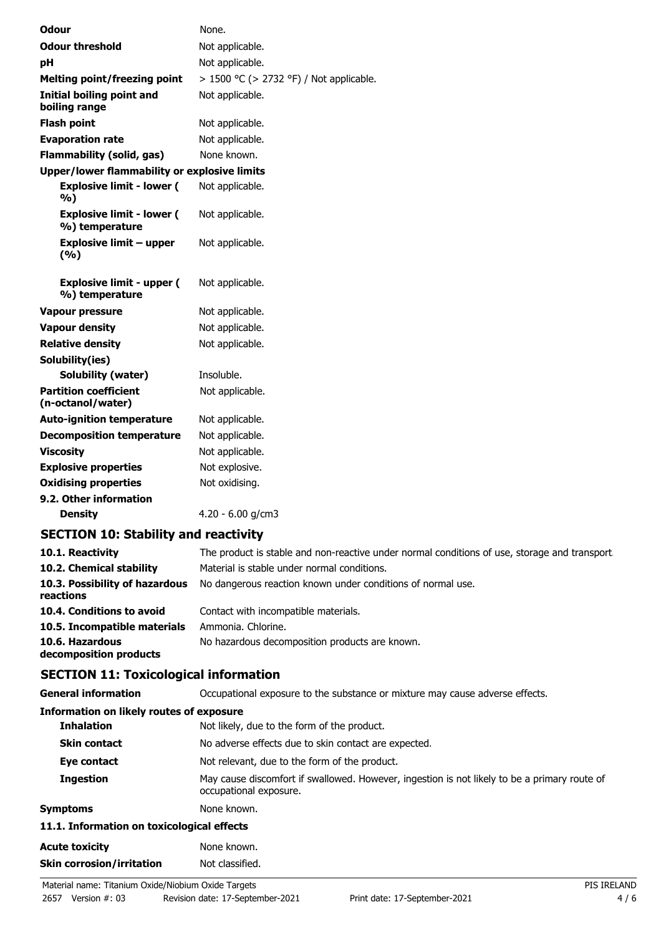| <b>Odour</b>                                        | None.                                   |
|-----------------------------------------------------|-----------------------------------------|
| <b>Odour threshold</b>                              | Not applicable.                         |
| рH                                                  | Not applicable.                         |
| <b>Melting point/freezing point</b>                 | > 1500 °C (> 2732 °F) / Not applicable. |
| <b>Initial boiling point and</b><br>boiling range   | Not applicable.                         |
| <b>Flash point</b>                                  | Not applicable.                         |
| <b>Evaporation rate</b>                             | Not applicable.                         |
| <b>Flammability (solid, gas)</b>                    | None known.                             |
| <b>Upper/lower flammability or explosive limits</b> |                                         |
| <b>Explosive limit - lower (</b><br>%)              | Not applicable.                         |
| <b>Explosive limit - lower (</b><br>%) temperature  | Not applicable.                         |
| <b>Explosive limit - upper</b><br>(%)               | Not applicable.                         |
| <b>Explosive limit - upper (</b><br>%) temperature  | Not applicable.                         |
| <b>Vapour pressure</b>                              | Not applicable.                         |
| <b>Vapour density</b>                               | Not applicable.                         |
| <b>Relative density</b>                             | Not applicable.                         |
| Solubility(ies)                                     |                                         |
| Solubility (water)                                  | Insoluble.                              |
| <b>Partition coefficient</b><br>(n-octanol/water)   | Not applicable.                         |
| <b>Auto-ignition temperature</b>                    | Not applicable.                         |
| <b>Decomposition temperature</b>                    | Not applicable.                         |
| <b>Viscosity</b>                                    | Not applicable.                         |
| <b>Explosive properties</b>                         | Not explosive.                          |
| <b>Oxidising properties</b>                         | Not oxidising.                          |
| 9.2. Other information                              |                                         |
| <b>Density</b>                                      | $4.20 - 6.00$ g/cm3                     |

### **SECTION 10: Stability and reactivity**

| 10.1. Reactivity<br>10.2. Chemical stability | The product is stable and non-reactive under normal conditions of use, storage and transport.<br>Material is stable under normal conditions. |
|----------------------------------------------|----------------------------------------------------------------------------------------------------------------------------------------------|
| 10.3. Possibility of hazardous<br>reactions  | No dangerous reaction known under conditions of normal use.                                                                                  |
| 10.4. Conditions to avoid                    | Contact with incompatible materials.                                                                                                         |
| 10.5. Incompatible materials                 | Ammonia. Chlorine.                                                                                                                           |
| 10.6. Hazardous<br>decomposition products    | No hazardous decomposition products are known.                                                                                               |

# **SECTION 11: Toxicological information**

| <u>SECTION III TOAKUUGUUGI MIOHIKUUH</u>   |                                                                                                                        |
|--------------------------------------------|------------------------------------------------------------------------------------------------------------------------|
| <b>General information</b>                 | Occupational exposure to the substance or mixture may cause adverse effects.                                           |
| Information on likely routes of exposure   |                                                                                                                        |
| <b>Inhalation</b>                          | Not likely, due to the form of the product.                                                                            |
| <b>Skin contact</b>                        | No adverse effects due to skin contact are expected.                                                                   |
| Eye contact                                | Not relevant, due to the form of the product.                                                                          |
| <b>Ingestion</b>                           | May cause discomfort if swallowed. However, ingestion is not likely to be a primary route of<br>occupational exposure. |
| <b>Symptoms</b>                            | None known.                                                                                                            |
| 11.1. Information on toxicological effects |                                                                                                                        |
| <b>Acute toxicity</b>                      | None known.                                                                                                            |
| <b>Skin corrosion/irritation</b>           | Not classified.                                                                                                        |
|                                            |                                                                                                                        |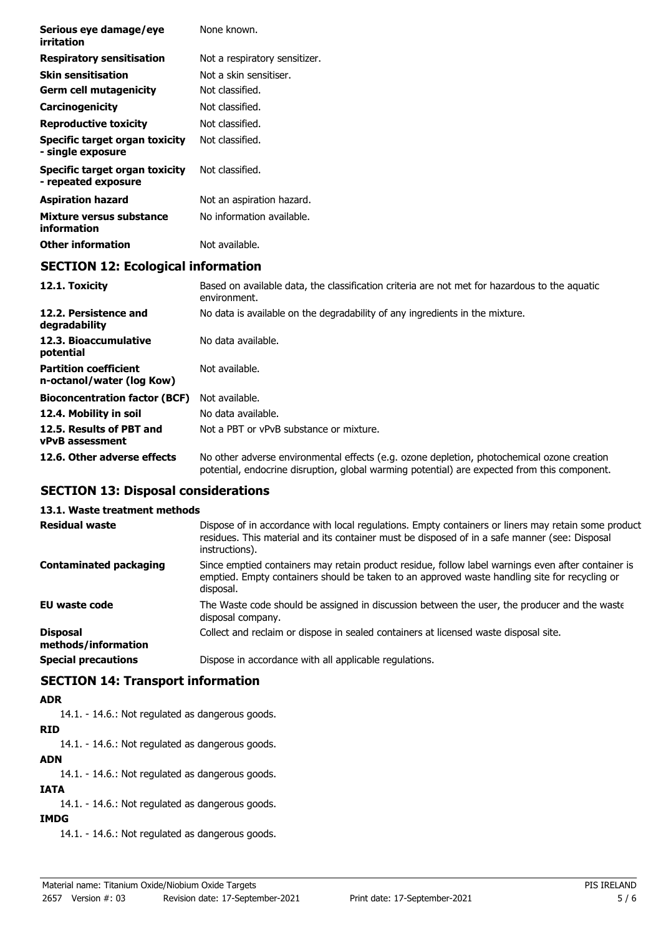| Serious eye damage/eye<br>irritation                      | None known.                                                                                                   |
|-----------------------------------------------------------|---------------------------------------------------------------------------------------------------------------|
| <b>Respiratory sensitisation</b>                          | Not a respiratory sensitizer.                                                                                 |
| <b>Skin sensitisation</b>                                 | Not a skin sensitiser.                                                                                        |
| <b>Germ cell mutagenicity</b>                             | Not classified.                                                                                               |
| Carcinogenicity                                           | Not classified.                                                                                               |
| <b>Reproductive toxicity</b>                              | Not classified.                                                                                               |
| Specific target organ toxicity<br>- single exposure       | Not classified.                                                                                               |
| Specific target organ toxicity<br>- repeated exposure     | Not classified.                                                                                               |
| <b>Aspiration hazard</b>                                  | Not an aspiration hazard.                                                                                     |
| Mixture versus substance<br>information                   | No information available.                                                                                     |
| <b>Other information</b>                                  | Not available.                                                                                                |
| <b>SECTION 12: Ecological information</b>                 |                                                                                                               |
| 12.1. Toxicity                                            | Based on available data, the classification criteria are not met for hazardous to the aquatic<br>environment. |
| 12.2. Persistence and<br>degradability                    | No data is available on the degradability of any ingredients in the mixture.                                  |
| 12.3. Bioaccumulative<br>potential                        | No data available.                                                                                            |
| <b>Partition coefficient</b><br>n-octanol/water (log Kow) | Not available.                                                                                                |

| n-octanol/water (log Kow)                           |                                         |
|-----------------------------------------------------|-----------------------------------------|
| <b>Bioconcentration factor (BCF)</b> Not available. |                                         |
| 12.4. Mobility in soil                              | No data available.                      |
| 12.5. Results of PBT and                            | Not a PBT or vPvB substance or mixture. |
| <b>vPvB</b> assessment                              |                                         |

**12.6. Other adverse effects** No other adverse environmental effects (e.g. ozone depletion, photochemical ozone creation potential, endocrine disruption, global warming potential) are expected from this component.

### **SECTION 13: Disposal considerations**

#### **13.1. Waste treatment methods**

| <b>Residual waste</b>                  | Dispose of in accordance with local regulations. Empty containers or liners may retain some product<br>residues. This material and its container must be disposed of in a safe manner (see: Disposal<br>instructions). |
|----------------------------------------|------------------------------------------------------------------------------------------------------------------------------------------------------------------------------------------------------------------------|
| <b>Contaminated packaging</b>          | Since emptied containers may retain product residue, follow label warnings even after container is<br>emptied. Empty containers should be taken to an approved waste handling site for recycling or<br>disposal.       |
| <b>EU waste code</b>                   | The Waste code should be assigned in discussion between the user, the producer and the waste<br>disposal company.                                                                                                      |
| <b>Disposal</b><br>methods/information | Collect and reclaim or dispose in sealed containers at licensed waste disposal site.                                                                                                                                   |
| <b>Special precautions</b>             | Dispose in accordance with all applicable regulations.                                                                                                                                                                 |

### **SECTION 14: Transport information**

### **ADR**

14.1. - 14.6.: Not regulated as dangerous goods.

# **RID**

14.1. - 14.6.: Not regulated as dangerous goods.

### **ADN**

14.1. - 14.6.: Not regulated as dangerous goods.

### **IATA**

14.1. - 14.6.: Not regulated as dangerous goods.

### **IMDG**

14.1. - 14.6.: Not regulated as dangerous goods.